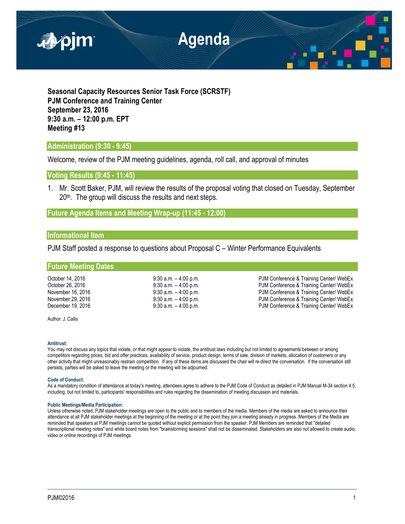

**Seasonal Capacity Resources Senior Task Force (SCRSTF) PJM Conference and Training Center September 23, 2016 9:30 a.m. – 12:00 p.m. EPT Meeting #13**

# **Administration (9:30 - 9:45)**

Welcome, review of the PJM meeting guidelines, agenda, roll call, and approval of minutes

**Voting Results (9:45 - 11:45)**

1. Mr. Scott Baker, PJM, will review the results of the proposal voting that closed on Tuesday, September  $20<sup>th</sup>$ . The group will discuss the results and next steps.

## **Future Agenda Items and Meeting Wrap-up (11:45 - 12:00)**

### **Informational Item**

PJM Staff posted a response to questions about Proposal C – Winter Performance Equivalents

### **Future Meeting Dates**

October 14, 2016 **12, 2016** 9:30 a.m. – 4:00 p.m. PJM Conference & Training Center/ WebEx<br>October 26, 2016 9:30 a.m. – 4:00 p.m. PJM Conference & Training Center/ WebEx October 26, 2016 **9:30 a.m.** – 4:00 p.m. PJM Conference & Training Center/ WebEx<br>
9:30 a.m. – 4:00 p.m. PJM Conference & Training Center/ WebEx PJM Conference & Training Center/ WebEx November 29, 2016 **19:30 a.m.** – 4:00 p.m. **PJM Conference & Training Center/ WebEx** December 19, 2016 **19. In the Conference & Training Center/ WebEx** 9:30 a.m. -4:00 p.m. PJM Conference & Training Center/ WebEx

Author: J. Callis

### **Antitrust:**

You may not discuss any topics that violate, or that might appear to violate, the antitrust laws including but not limited to agreements between or among competitors regarding prices, bid and offer practices, availability of service, product design, terms of sale, division of markets, allocation of customers or any other activity that might unreasonably restrain competition. If any of these items are discussed the chair will re-direct the conversation. If the conversation still persists, parties will be asked to leave the meeting or the meeting will be adjourned.

### **Code of Conduct:**

As a mandatory condition of attendance at today's meeting, attendees agree to adhere to the PJM Code of Conduct as detailed in PJM Manual M-34 section 4.5, including, but not limited to, participants' responsibilities and rules regarding the dissemination of meeting discussion and materials.

### **Public Meetings/Media Participation:**

Unless otherwise noted, PJM stakeholder meetings are open to the public and to members of the media. Members of the media are asked to announce their attendance at all PJM stakeholder meetings at the beginning of the meeting or at the point they join a meeting already in progress. Members of the Media are reminded that speakers at PJM meetings cannot be quoted without explicit permission from the speaker. PJM Members are reminded that "detailed transcriptional meeting notes" and white board notes from "brainstorming sessions" shall not be disseminated. Stakeholders are also not allowed to create audio, video or online recordings of PJM meetings.